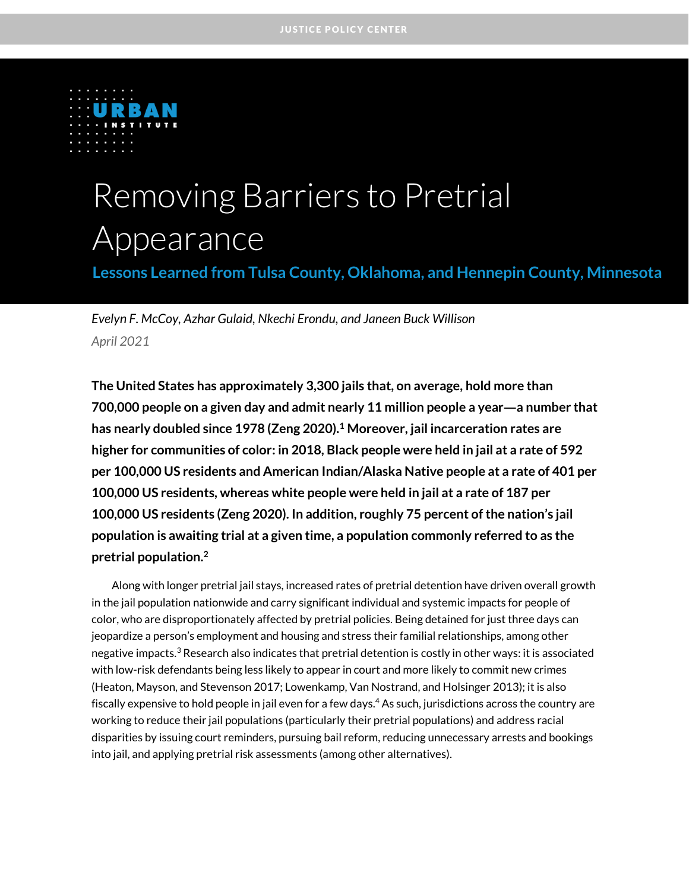

# Removing Barriers to Pretrial Appearance

**Lessons Learned from Tulsa County, Oklahoma, and Hennepin County, Minnesota**

*Evelyn F. McCoy, Azhar Gulaid, Nkechi Erondu, and Janeen Buck Willison April 2021*

**The United States has approximately 3,300 jails that, on average, hold more than 700,000 people on a given day and admit nearly 11 million people a year—a number that has nearly doubled since 1978 (Zeng 2020).<sup>1</sup> Moreover, jail incarceration rates are higher for communities of color: in 2018, Black people were held in jail at a rate of 592 per 100,000 US residents and American Indian/Alaska Native people at a rate of 401 per 100,000 US residents, whereas white people were held in jail at a rate of 187 per 100,000 US residents (Zeng 2020). In addition, roughly 75 percent of the nation's jail population is awaiting trial at a given time, a population commonly referred to as the pretrial population.<sup>2</sup>**

Along with longer pretrial jail stays, increased rates of pretrial detention have driven overall growth in the jail population nationwide and carry significant individual and systemic impacts for people of color, who are disproportionately affected by pretrial policies. Being detained for just three days can jeopardize a person's employment and housing and stress their familial relationships, among other negative impacts.<sup>3</sup> Research also indicates that pretrial detention is costly in other ways: it is associated with low-risk defendants being less likely to appear in court and more likely to commit new crimes (Heaton, Mayson, and Stevenson 2017; Lowenkamp, Van Nostrand, and Holsinger 2013); it is also fiscally expensive to hold people in jail even for a few days.<sup>4</sup> As such, jurisdictions across the country are working to reduce their jail populations (particularly their pretrial populations) and address racial disparities by issuing court reminders, pursuing bail reform, reducing unnecessary arrests and bookings into jail, and applying pretrial risk assessments (among other alternatives).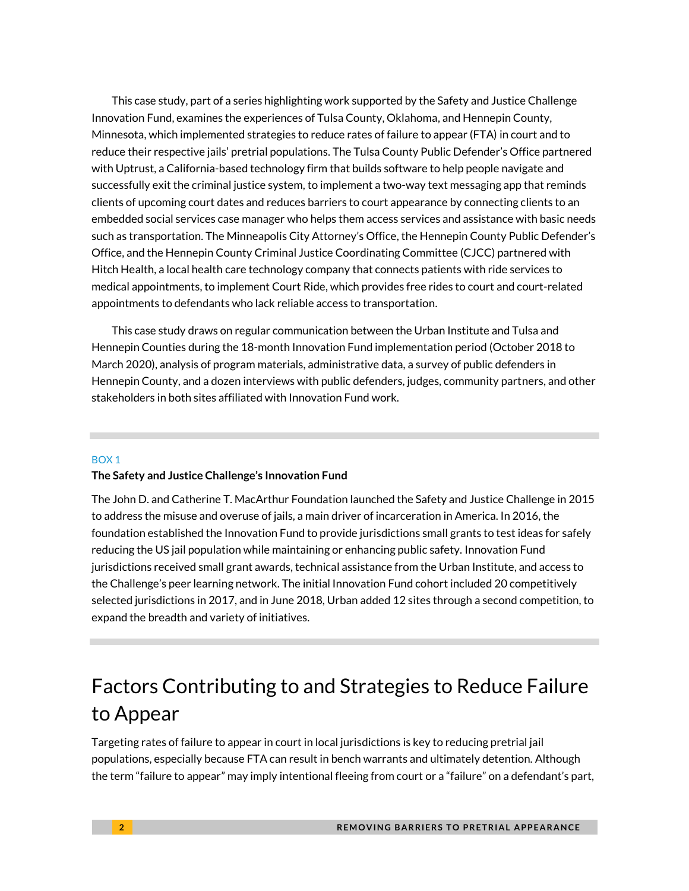This case study, part of a series highlighting work supported by the Safety and Justice Challenge Innovation Fund, examines the experiences of Tulsa County, Oklahoma, and Hennepin County, Minnesota, which implemented strategies to reduce rates of failure to appear (FTA) in court and to reduce their respective jails' pretrial populations. The Tulsa County Public Defender's Office partnered with Uptrust, a California-based technology firm that builds software to help people navigate and successfully exit the criminal justice system, to implement a two-way text messaging app that reminds clients of upcoming court dates and reduces barriers to court appearance by connecting clients to an embedded social services case manager who helps them access services and assistance with basic needs such as transportation. The Minneapolis City Attorney's Office, the Hennepin County Public Defender's Office, and the Hennepin County Criminal Justice Coordinating Committee (CJCC) partnered with Hitch Health, a local health care technology company that connects patients with ride services to medical appointments, to implement Court Ride, which provides free rides to court and court-related appointments to defendants who lack reliable access to transportation.

This case study draws on regular communication between the Urban Institute and Tulsa and Hennepin Counties during the 18-month Innovation Fund implementation period (October 2018 to March 2020), analysis of program materials, administrative data, a survey of public defenders in Hennepin County, and a dozen interviews with public defenders, judges, community partners, and other stakeholders in both sites affiliated with Innovation Fund work.

#### BOX 1

#### **The Safety and Justice Challenge's Innovation Fund**

The John D. and Catherine T. MacArthur Foundation launched the Safety and Justice Challenge in 2015 to address the misuse and overuse of jails, a main driver of incarceration in America. In 2016, the foundation established the Innovation Fund to provide jurisdictions small grants to test ideas for safely reducing the US jail population while maintaining or enhancing public safety. Innovation Fund jurisdictions received small grant awards, technical assistance from the Urban Institute, and access to the Challenge's peer learning network. The initial Innovation Fund cohort included 20 competitively selected jurisdictions in 2017, and in June 2018, Urban added 12 sites through a second competition, to expand the breadth and variety of initiatives.

# Factors Contributing to and Strategies to Reduce Failure to Appear

Targeting rates of failure to appear in court in local jurisdictions is key to reducing pretrial jail populations, especially because FTA can result in bench warrants and ultimately detention. Although the term "failure to appear" may imply intentional fleeing from court or a "failure" on a defendant's part,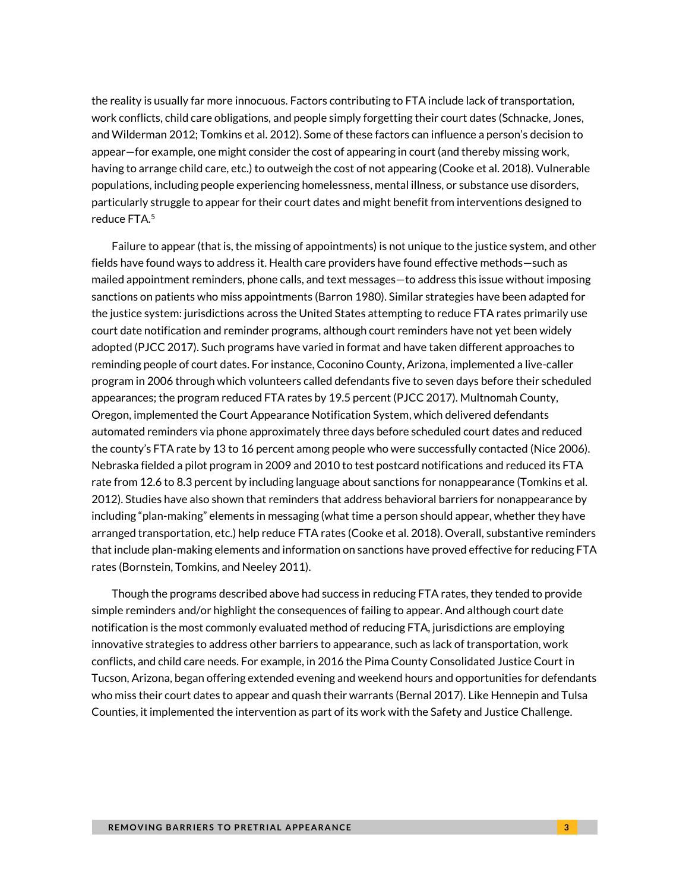the reality is usually far more innocuous. Factors contributing to FTA include lack of transportation, work conflicts, child care obligations, and people simply forgetting their court dates (Schnacke, Jones, and Wilderman 2012; Tomkins et al. 2012). Some of these factors can influence a person's decision to appear—for example, one might consider the cost of appearing in court (and thereby missing work, having to arrange child care, etc.) to outweigh the cost of not appearing (Cooke et al. 2018). Vulnerable populations, including people experiencing homelessness, mental illness, or substance use disorders, particularly struggle to appear for their court dates and might benefit from interventions designed to reduce FTA.<sup>5</sup>

Failure to appear (that is, the missing of appointments) is not unique to the justice system, and other fields have found ways to address it. Health care providers have found effective methods—such as mailed appointment reminders, phone calls, and text messages—to address this issue without imposing sanctions on patients who miss appointments (Barron 1980). Similar strategies have been adapted for the justice system: jurisdictions across the United States attempting to reduce FTA rates primarily use court date notification and reminder programs, although court reminders have not yet been widely adopted (PJCC 2017). Such programs have varied in format and have taken different approaches to reminding people of court dates. For instance, Coconino County, Arizona, implemented a live-caller program in 2006 through which volunteers called defendants five to seven days before their scheduled appearances; the program reduced FTA rates by 19.5 percent (PJCC 2017). Multnomah County, Oregon, implemented the Court Appearance Notification System, which delivered defendants automated reminders via phone approximately three days before scheduled court dates and reduced the county's FTA rate by 13 to 16 percent among people who were successfully contacted (Nice 2006). Nebraska fielded a pilot program in 2009 and 2010 to test postcard notifications and reduced its FTA rate from 12.6 to 8.3 percent by including language about sanctions for nonappearance (Tomkins et al. 2012). Studies have also shown that reminders that address behavioral barriers for nonappearance by including "plan-making" elements in messaging (what time a person should appear, whether they have arranged transportation, etc.) help reduce FTA rates (Cooke et al. 2018). Overall, substantive reminders that include plan-making elements and information on sanctions have proved effective for reducing FTA rates (Bornstein, Tomkins, and Neeley 2011).

Though the programs described above had success in reducing FTA rates, they tended to provide simple reminders and/or highlight the consequences of failing to appear. And although court date notification is the most commonly evaluated method of reducing FTA, jurisdictions are employing innovative strategies to address other barriers to appearance, such as lack of transportation, work conflicts, and child care needs. For example, in 2016 the Pima County Consolidated Justice Court in Tucson, Arizona, began offering extended evening and weekend hours and opportunities for defendants who miss their court dates to appear and quash their warrants (Bernal 2017). Like Hennepin and Tulsa Counties, it implemented the intervention as part of its work with the Safety and Justice Challenge.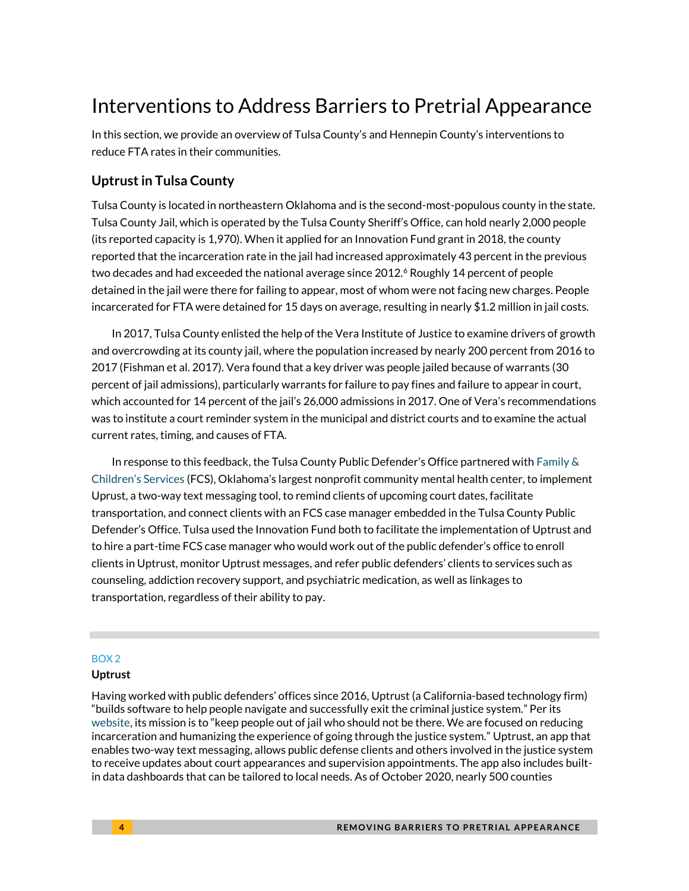## Interventions to Address Barriers to Pretrial Appearance

In this section, we provide an overview of Tulsa County's and Hennepin County's interventions to reduce FTA rates in their communities.

### **Uptrust in Tulsa County**

Tulsa County is located in northeastern Oklahoma and is the second-most-populous county in the state. Tulsa County Jail, which is operated by the Tulsa County Sheriff's Office, can hold nearly 2,000 people (its reported capacity is 1,970). When it applied for an Innovation Fund grant in 2018, the county reported that the incarceration rate in the jail had increased approximately 43 percent in the previous two decades and had exceeded the national average since 2012.<sup>6</sup> Roughly 14 percent of people detained in the jail were there for failing to appear, most of whom were not facing new charges. People incarcerated for FTA were detained for 15 days on average, resulting in nearly \$1.2 million in jail costs.

In 2017, Tulsa County enlisted the help of the Vera Institute of Justice to examine drivers of growth and overcrowding at its county jail, where the population increased by nearly 200 percent from 2016 to 2017 (Fishman et al. 2017). Vera found that a key driver was people jailed because of warrants (30 percent of jail admissions), particularly warrants for failure to pay fines and failure to appear in court, which accounted for 14 percent of the jail's 26,000 admissions in 2017. One of Vera's recommendations was to institute a court reminder system in the municipal and district courts and to examine the actual current rates, timing, and causes of FTA.

In response to this feedback, the Tulsa County Public Defender's Office partnered with [Family &](https://www.fcsok.org/about-us/) Children's [Services](https://www.fcsok.org/about-us/) (FCS), Oklahoma's largest nonprofit community mental health center, to implement Uprust, a two-way text messaging tool, to remind clients of upcoming court dates, facilitate transportation, and connect clients with an FCS case manager embedded in the Tulsa County Public Defender's Office. Tulsa used the Innovation Fund both to facilitate the implementation of Uptrust and to hire a part-time FCS case manager who would work out of the public defender's office to enroll clients in Uptrust, monitor Uptrust messages, and refer public defenders' clients to services such as counseling, addiction recovery support, and psychiatric medication, as well as linkages to transportation, regardless of their ability to pay.

#### BOX 2

#### **Uptrust**

Having worked with public defenders' offices since 2016, Uptrust (a California-based technology firm) "builds software to help people navigate and successfully exit the criminal justice system." Per its [website](https://www.uptrust.co/), its mission is to "keep people out of jail who should not be there. We are focused on reducing incarceration and humanizing the experience of going through the justice system." Uptrust, an app that enables two-way text messaging, allows public defense clients and others involved in the justice system to receive updates about court appearances and supervision appointments. The app also includes builtin data dashboards that can be tailored to local needs. As of October 2020, nearly 500 counties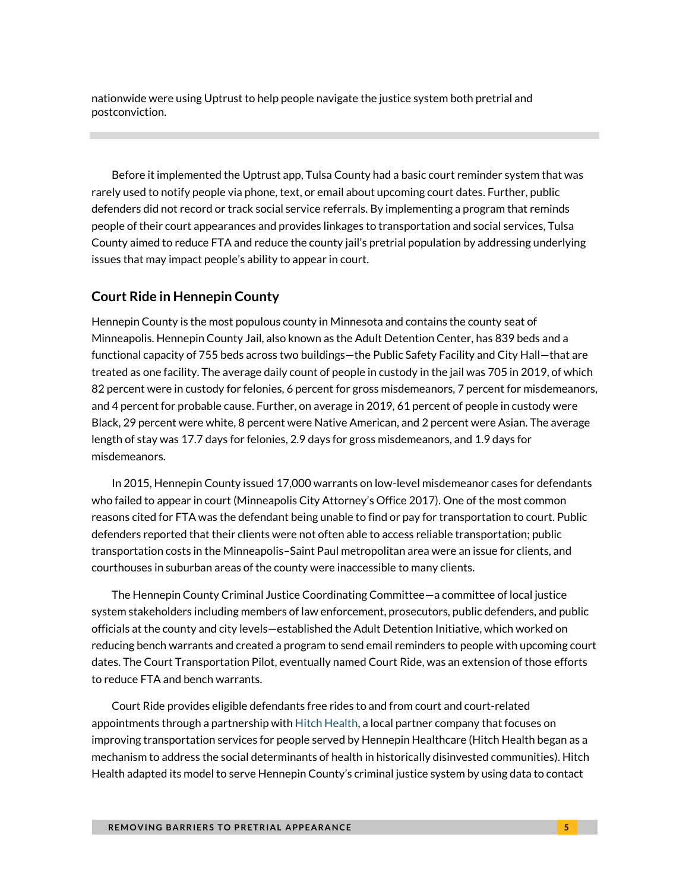nationwide were using Uptrust to help people navigate the justice system both pretrial and postconviction.

Before it implemented the Uptrust app, Tulsa County had a basic court reminder system that was rarely used to notify people via phone, text, or email about upcoming court dates. Further, public defenders did not record or track social service referrals. By implementing a program that reminds people of their court appearances and provides linkages to transportation and social services, Tulsa County aimed to reduce FTA and reduce the county jail's pretrial population by addressing underlying issues that may impact people's ability to appear in court.

### **Court Ride in Hennepin County**

Hennepin County is the most populous county in Minnesota and contains the county seat of Minneapolis. Hennepin County Jail, also known as the Adult Detention Center, has 839 beds and a functional capacity of 755 beds across two buildings—the Public Safety Facility and City Hall—that are treated as one facility. The average daily count of people in custody in the jail was 705 in 2019, of which 82 percent were in custody for felonies, 6 percent for gross misdemeanors, 7 percent for misdemeanors, and 4 percent for probable cause. Further, on average in 2019, 61 percent of people in custody were Black, 29 percent were white, 8 percent were Native American, and 2 percent were Asian. The average length of stay was 17.7 days for felonies, 2.9 days for gross misdemeanors, and 1.9 days for misdemeanors.

In 2015, Hennepin County issued 17,000 warrants on low-level misdemeanor cases for defendants who failed to appear in court (Minneapolis City Attorney's Office 2017). One of the most common reasons cited for FTA was the defendant being unable to find or pay for transportation to court. Public defenders reported that their clients were not often able to access reliable transportation; public transportation costs in the Minneapolis–Saint Paul metropolitan area were an issue for clients, and courthouses in suburban areas of the county were inaccessible to many clients.

The Hennepin County Criminal Justice Coordinating Committee—a committee of local justice system stakeholders including members of law enforcement, prosecutors, public defenders, and public officials at the county and city levels—established the Adult Detention Initiative, which worked on reducing bench warrants and created a program to send email reminders to people with upcoming court dates. The Court Transportation Pilot, eventually named Court Ride, was an extension of those efforts to reduce FTA and bench warrants.

Court Ride provides eligible defendants free rides to and from court and court-related appointments through a partnership wit[h Hitch Health,](https://hitchhealth.co/) a local partner company that focuses on improving transportation services for people served by Hennepin Healthcare (Hitch Health began as a mechanism to address the social determinants of health in historically disinvested communities). Hitch Health adapted its model to serve Hennepin County's criminal justice system by using data to contact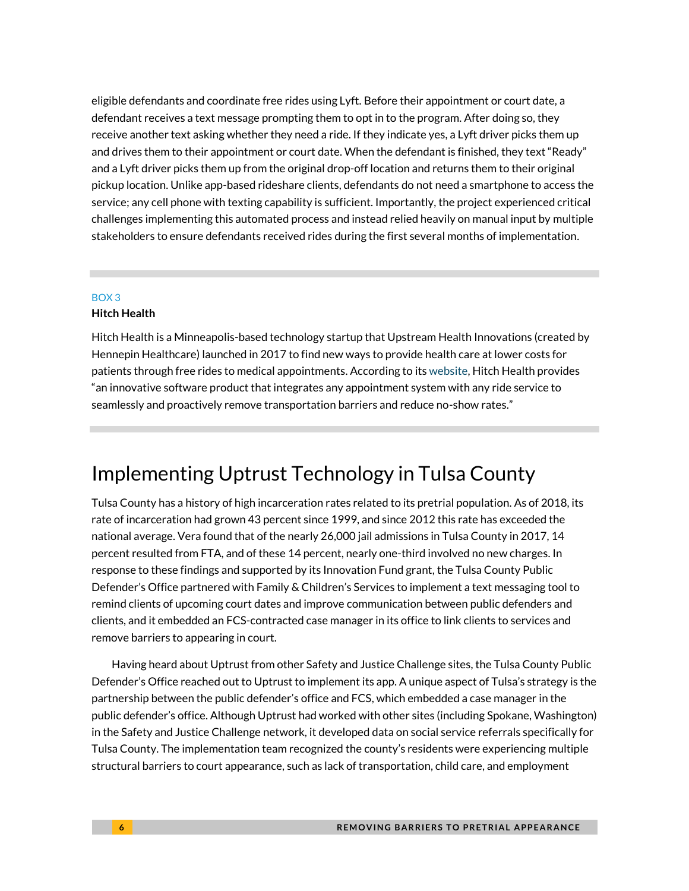eligible defendants and coordinate free rides using Lyft. Before their appointment or court date, a defendant receives a text message prompting them to opt in to the program. After doing so, they receive another text asking whether they need a ride. If they indicate yes, a Lyft driver picks them up and drives them to their appointment or court date. When the defendant is finished, they text "Ready" and a Lyft driver picks them up from the original drop-off location and returns them to their original pickup location. Unlike app-based rideshare clients, defendants do not need a smartphone to access the service; any cell phone with texting capability is sufficient. Importantly, the project experienced critical challenges implementing this automated process and instead relied heavily on manual input by multiple stakeholders to ensure defendants received rides during the first several months of implementation.

#### BOX 3

#### **Hitch Health**

Hitch Health is a Minneapolis-based technology startup that Upstream Health Innovations (created by Hennepin Healthcare) launched in 2017 to find new ways to provide health care at lower costs for patients through free rides to medical appointments. According to it[s website,](https://hitchhealth.co/#:~:text=Hitch%20Health%20is%20an%20innovative,and%20reduce%20no%2Dshow%20rates.&text=The%20patient%20schedules%20a%20clinic,used%20by%20the%20health%20system.) Hitch Health provides "an innovative software product that integrates any appointment system with any ride service to seamlessly and proactively remove transportation barriers and reduce no-show rates."

### Implementing Uptrust Technology in Tulsa County

Tulsa County has a history of high incarceration rates related to its pretrial population. As of 2018, its rate of incarceration had grown 43 percent since 1999, and since 2012 this rate has exceeded the national average. Vera found that of the nearly 26,000 jail admissions in Tulsa County in 2017, 14 percent resulted from FTA, and of these 14 percent, nearly one-third involved no new charges. In response to these findings and supported by its Innovation Fund grant, the Tulsa County Public Defender's Office partnered with Family & Children's Services to implement a text messaging tool to remind clients of upcoming court dates and improve communication between public defenders and clients, and it embedded an FCS-contracted case manager in its office to link clients to services and remove barriers to appearing in court.

Having heard about Uptrust from other Safety and Justice Challenge sites, the Tulsa County Public Defender's Office reached out to Uptrust to implement its app. A unique aspect of Tulsa's strategy is the partnership between the public defender's office and FCS, which embedded a case manager in the public defender's office. Although Uptrust had worked with other sites (including Spokane, Washington) in the Safety and Justice Challenge network, it developed data on social service referrals specifically for Tulsa County. The implementation team recognized the county's residents were experiencing multiple structural barriers to court appearance, such as lack of transportation, child care, and employment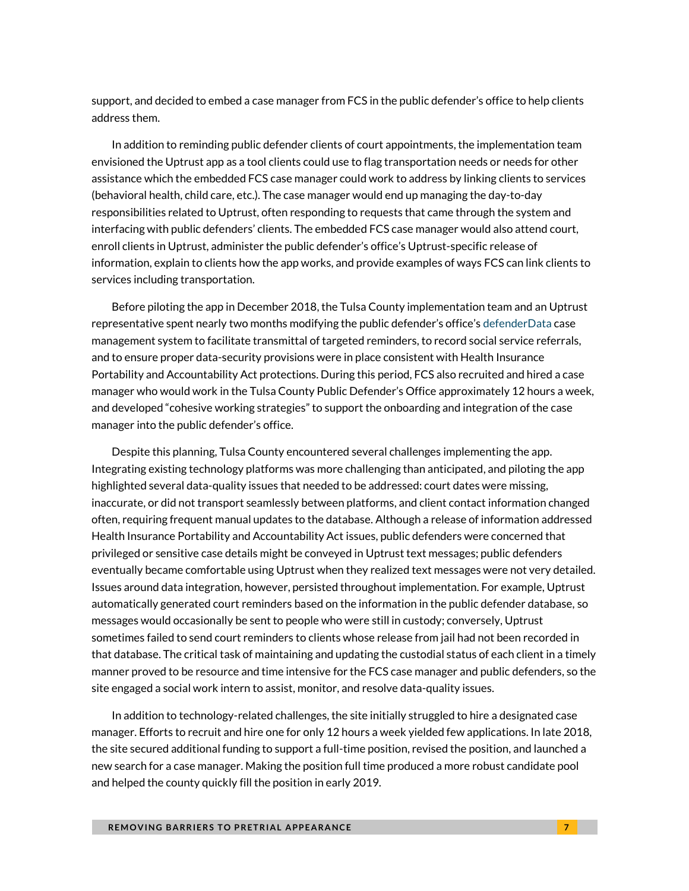support, and decided to embed a case manager from FCS in the public defender's office to help clients address them.

In addition to reminding public defender clients of court appointments, the implementation team envisioned the Uptrust app as a tool clients could use to flag transportation needs or needs for other assistance which the embedded FCS case manager could work to address by linking clients to services (behavioral health, child care, etc.). The case manager would end up managing the day-to-day responsibilities related to Uptrust, often responding to requests that came through the system and interfacing with public defenders' clients. The embedded FCS case manager would also attend court, enroll clients in Uptrust, administer the public defender's office's Uptrust-specific release of information, explain to clients how the app works, and provide examples of ways FCS can link clients to services including transportation.

Before piloting the app in December 2018, the Tulsa County implementation team and an Uptrust representative spent nearly two months modifying the public defender's office's [defenderData](https://www.justiceworks.com/) case management system to facilitate transmittal of targeted reminders, to record social service referrals, and to ensure proper data-security provisions were in place consistent with Health Insurance Portability and Accountability Act protections. During this period, FCS also recruited and hired a case manager who would work in the Tulsa County Public Defender's Office approximately 12 hours a week, and developed "cohesive working strategies" to support the onboarding and integration of the case manager into the public defender's office.

Despite this planning, Tulsa County encountered several challenges implementing the app. Integrating existing technology platforms was more challenging than anticipated, and piloting the app highlighted several data-quality issues that needed to be addressed: court dates were missing, inaccurate, or did not transport seamlessly between platforms, and client contact information changed often, requiring frequent manual updates to the database. Although a release of information addressed Health Insurance Portability and Accountability Act issues, public defenders were concerned that privileged or sensitive case details might be conveyed in Uptrust text messages; public defenders eventually became comfortable using Uptrust when they realized text messages were not very detailed. Issues around data integration, however, persisted throughout implementation. For example, Uptrust automatically generated court reminders based on the information in the public defender database, so messages would occasionally be sent to people who were still in custody; conversely, Uptrust sometimes failed to send court reminders to clients whose release from jail had not been recorded in that database. The critical task of maintaining and updating the custodial status of each client in a timely manner proved to be resource and time intensive for the FCS case manager and public defenders, so the site engaged a social work intern to assist, monitor, and resolve data-quality issues.

In addition to technology-related challenges, the site initially struggled to hire a designated case manager. Efforts to recruit and hire one for only 12 hours a week yielded few applications. In late 2018, the site secured additional funding to support a full-time position, revised the position, and launched a new search for a case manager. Making the position full time produced a more robust candidate pool and helped the county quickly fill the position in early 2019.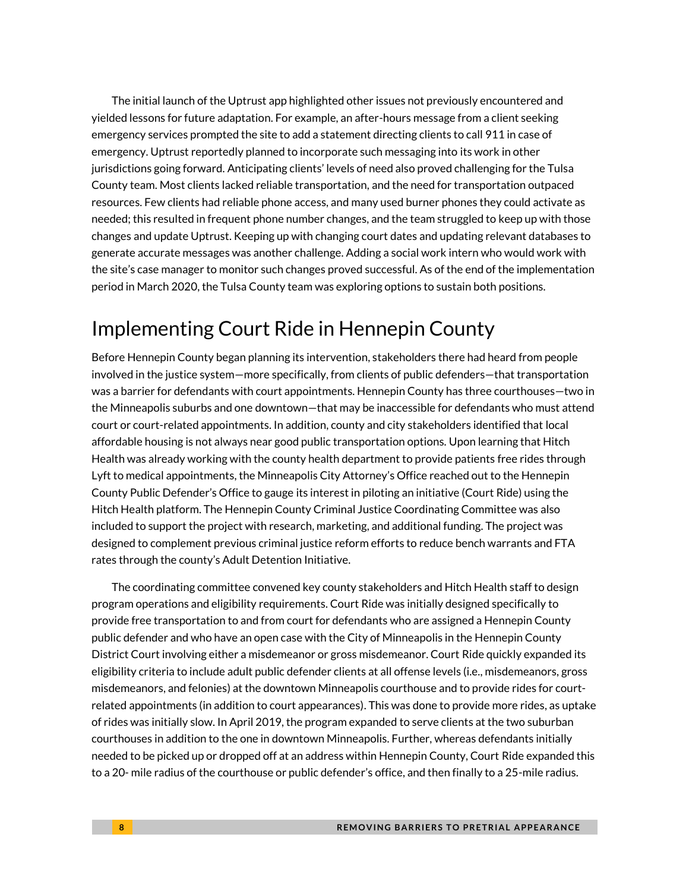The initial launch of the Uptrust app highlighted other issues not previously encountered and yielded lessons for future adaptation. For example, an after-hours message from a client seeking emergency services prompted the site to add a statement directing clients to call 911 in case of emergency. Uptrust reportedly planned to incorporate such messaging into its work in other jurisdictions going forward. Anticipating clients' levels of need also proved challenging for the Tulsa County team. Most clients lacked reliable transportation, and the need for transportation outpaced resources. Few clients had reliable phone access, and many used burner phones they could activate as needed; this resulted in frequent phone number changes, and the team struggled to keep up with those changes and update Uptrust. Keeping up with changing court dates and updating relevant databases to generate accurate messages was another challenge. Adding a social work intern who would work with the site's case manager to monitor such changes proved successful. As of the end of the implementation period in March 2020, the Tulsa County team was exploring options to sustain both positions.

# Implementing Court Ride in Hennepin County

Before Hennepin County began planning its intervention, stakeholders there had heard from people involved in the justice system—more specifically, from clients of public defenders—that transportation was a barrier for defendants with court appointments. Hennepin County has three courthouses—two in the Minneapolis suburbs and one downtown—that may be inaccessible for defendants who must attend court or court-related appointments. In addition, county and city stakeholders identified that local affordable housing is not always near good public transportation options. Upon learning that Hitch Health was already working with the county health department to provide patients free rides through Lyft to medical appointments, the Minneapolis City Attorney's Office reached out to the Hennepin County Public Defender's Office to gauge its interest in piloting an initiative (Court Ride) using the Hitch Health platform. The Hennepin County Criminal Justice Coordinating Committee was also included to support the project with research, marketing, and additional funding. The project was designed to complement previous criminal justice reform efforts to reduce bench warrants and FTA rates through the county's Adult Detention Initiative.

The coordinating committee convened key county stakeholders and Hitch Health staff to design program operations and eligibility requirements. Court Ride was initially designed specifically to provide free transportation to and from court for defendants who are assigned a Hennepin County public defender and who have an open case with the City of Minneapolis in the Hennepin County District Court involving either a misdemeanor or gross misdemeanor. Court Ride quickly expanded its eligibility criteria to include adult public defender clients at all offense levels (i.e., misdemeanors, gross misdemeanors, and felonies) at the downtown Minneapolis courthouse and to provide rides for courtrelated appointments (in addition to court appearances). This was done to provide more rides, as uptake of rides was initially slow. In April 2019, the program expanded to serve clients at the two suburban courthouses in addition to the one in downtown Minneapolis. Further, whereas defendants initially needed to be picked up or dropped off at an address within Hennepin County, Court Ride expanded this to a 20- mile radius of the courthouse or public defender's office, and then finally to a 25-mile radius.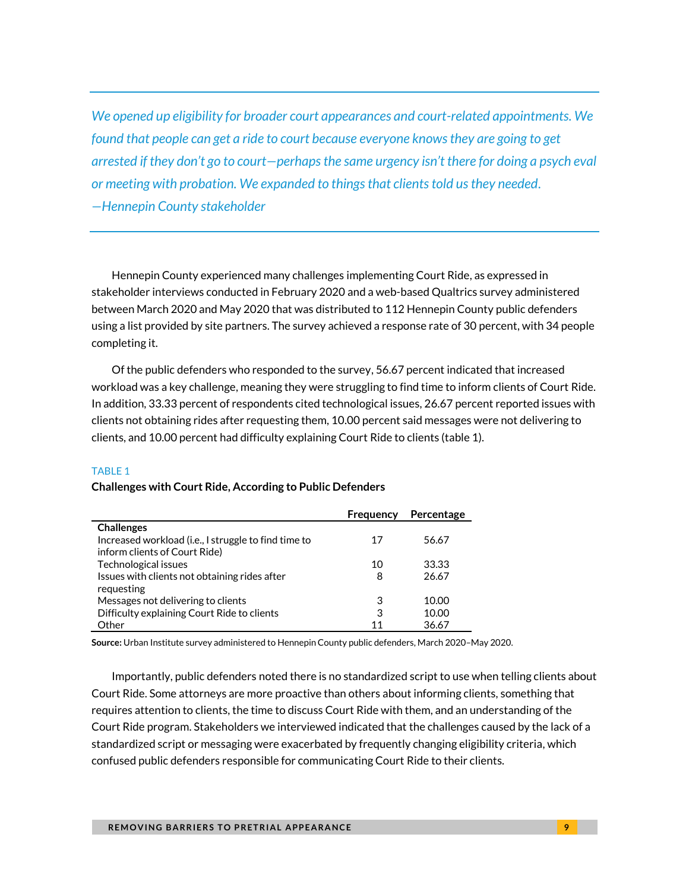*We opened up eligibility for broader court appearances and court-related appointments. We found that people can get a ride to court because everyone knows they are going to get arrested if they don't go to court—perhapsthe same urgency isn't there for doing a psych eval or meeting with probation. We expanded to things that clients told us they needed. —Hennepin County stakeholder*

Hennepin County experienced many challenges implementing Court Ride, as expressed in stakeholder interviews conducted in February 2020 and a web-based Qualtrics survey administered between March 2020 and May 2020 that was distributed to 112 Hennepin County public defenders using a list provided by site partners. The survey achieved a response rate of 30 percent, with 34 people completing it.

Of the public defenders who responded to the survey, 56.67 percent indicated that increased workload was a key challenge, meaning they were struggling to find time to inform clients of Court Ride. In addition, 33.33 percent of respondents cited technological issues, 26.67 percent reported issues with clients not obtaining rides after requesting them, 10.00 percent said messages were not delivering to clients, and 10.00 percent had difficulty explaining Court Ride to clients (table 1).

#### TABLE 1

#### **Challenges with Court Ride, According to Public Defenders**

|                                                      | Frequency | Percentage |
|------------------------------------------------------|-----------|------------|
| <b>Challenges</b>                                    |           |            |
| Increased workload (i.e., I struggle to find time to | 17        | 56.67      |
| inform clients of Court Ride)                        |           |            |
| Technological issues                                 | 10        | 33.33      |
| Issues with clients not obtaining rides after        | 8         | 26.67      |
| requesting                                           |           |            |
| Messages not delivering to clients                   | 3         | 10.00      |
| Difficulty explaining Court Ride to clients          | 3         | 10.00      |
| Other                                                | 11        | 36.67      |

**Source:** Urban Institute survey administered to Hennepin County public defenders, March 2020–May 2020.

Importantly, public defenders noted there is no standardized script to use when telling clients about Court Ride. Some attorneys are more proactive than others about informing clients, something that requires attention to clients, the time to discuss Court Ride with them, and an understanding of the Court Ride program. Stakeholders we interviewed indicated that the challenges caused by the lack of a standardized script or messaging were exacerbated by frequently changing eligibility criteria, which confused public defenders responsible for communicating Court Ride to their clients.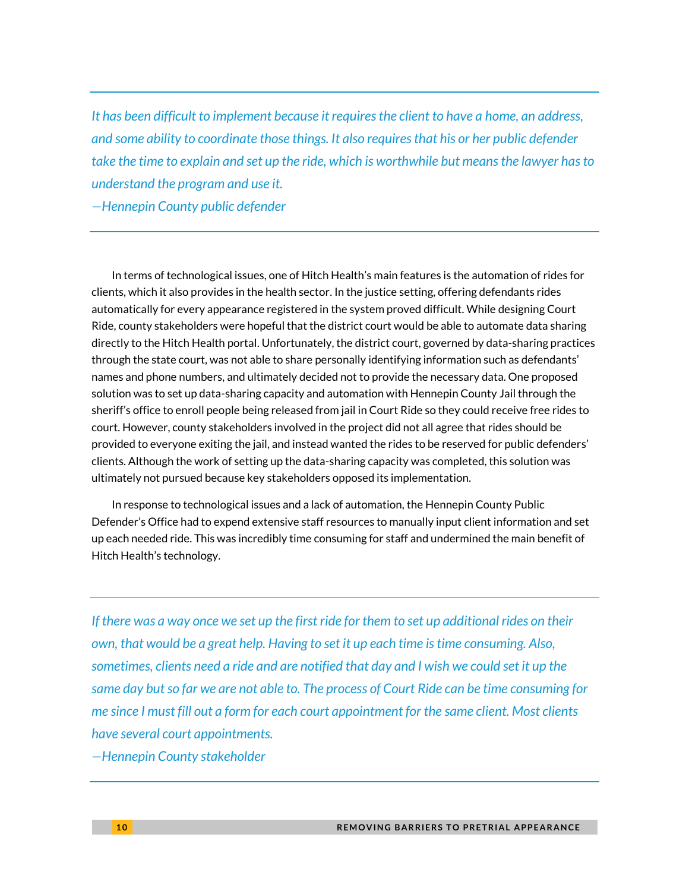*It has been difficult to implement because it requires the client to have a home, an address, and some ability to coordinate those things. It also requires that his or her public defender take the time to explain and set up the ride, which is worthwhile but means the lawyer has to understand the program and use it.*

*—Hennepin County public defender*

In terms of technological issues, one of Hitch Health's main features is the automation of rides for clients, which it also provides in the health sector. In the justice setting, offering defendants rides automatically for every appearance registered in the system proved difficult. While designing Court Ride, county stakeholders were hopeful that the district court would be able to automate data sharing directly to the Hitch Health portal. Unfortunately, the district court, governed by data-sharing practices through the state court, was not able to share personally identifying information such as defendants' names and phone numbers, and ultimately decided not to provide the necessary data. One proposed solution was to set up data-sharing capacity and automation with Hennepin County Jail through the sheriff's office to enroll people being released from jail in Court Ride so they could receive free rides to court. However, county stakeholders involved in the project did not all agree that rides should be provided to everyone exiting the jail, and instead wanted the rides to be reserved for public defenders' clients. Although the work of setting up the data-sharing capacity was completed, this solution was ultimately not pursued because key stakeholders opposed its implementation.

In response to technological issues and a lack of automation, the Hennepin County Public Defender's Office had to expend extensive staff resources to manually input client information and set up each needed ride. This was incredibly time consuming for staff and undermined the main benefit of Hitch Health's technology.

*If there was a way once we set up the first ride for them to set up additional rides on their own, that would be a great help. Having to set it up each time is time consuming. Also, sometimes, clients need a ride and are notified that day and I wish we could set it up the same day but so far we are not able to. The process of Court Ride can be time consuming for me since I must fill out a form for each court appointment for the same client. Most clients have several court appointments.* 

*—Hennepin County stakeholder*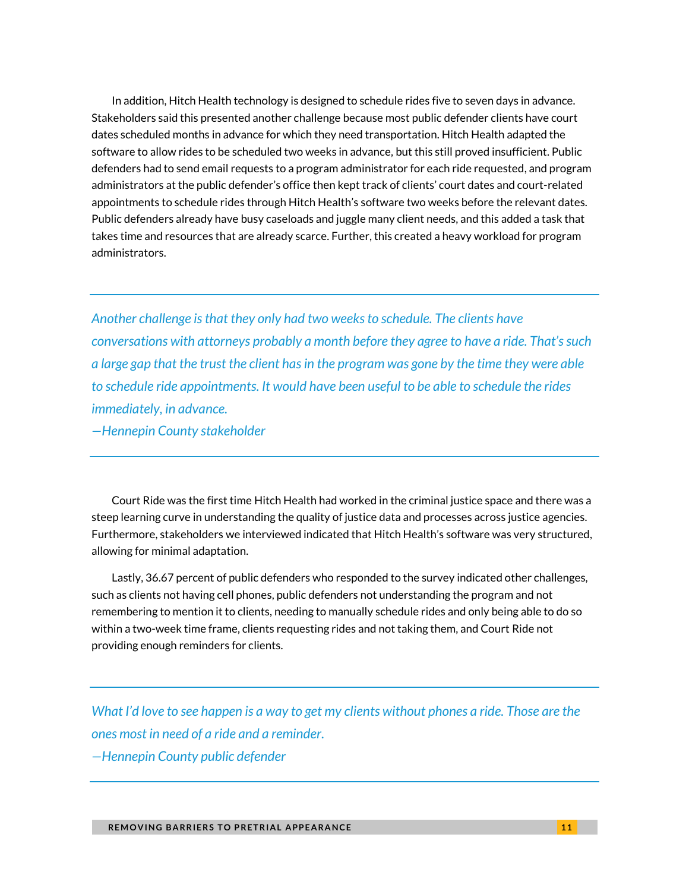In addition, Hitch Health technology is designed to schedule rides five to seven days in advance. Stakeholders said this presented another challenge because most public defender clients have court dates scheduled months in advance for which they need transportation. Hitch Health adapted the software to allow rides to be scheduled two weeks in advance, but this still proved insufficient. Public defenders had to send email requests to a program administrator for each ride requested, and program administrators at the public defender's office then kept track of clients' court dates and court-related appointments to schedule rides through Hitch Health's software two weeks before the relevant dates. Public defenders already have busy caseloads and juggle many client needs, and this added a task that takes time and resources that are already scarce. Further, this created a heavy workload for program administrators.

*Another challenge is that they only had two weeks to schedule. The clients have conversations with attorneys probably a month before they agree to have a ride. That's such a large gap that the trust the client has in the program was gone by the time they were able to schedule ride appointments. It would have been useful to be able to schedule the rides immediately, in advance.* 

*—Hennepin County stakeholder*

Court Ride was the first time Hitch Health had worked in the criminal justice space and there was a steep learning curve in understanding the quality of justice data and processes across justice agencies. Furthermore, stakeholders we interviewed indicated that Hitch Health's software was very structured, allowing for minimal adaptation.

Lastly, 36.67 percent of public defenders who responded to the survey indicated other challenges, such as clients not having cell phones, public defenders not understanding the program and not remembering to mention it to clients, needing to manually schedule rides and only being able to do so within a two-week time frame, clients requesting rides and not taking them, and Court Ride not providing enough reminders for clients.

*What I'd love to see happen is a way to get my clients without phones a ride. Those are the ones most in need of a ride and a reminder. —Hennepin County public defender*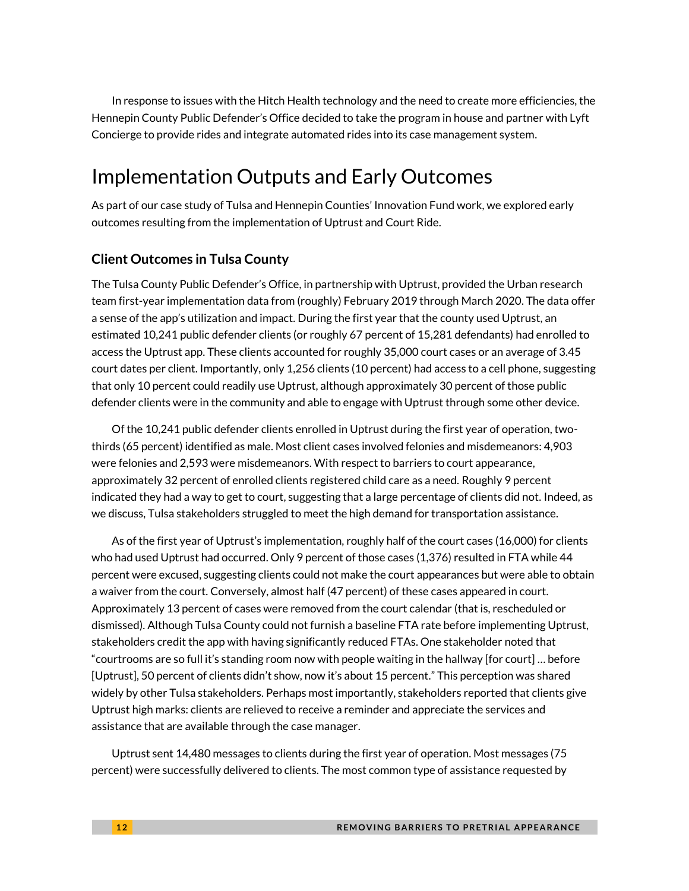In response to issues with the Hitch Health technology and the need to create more efficiencies, the Hennepin County Public Defender's Office decided to take the program in house and partner with Lyft Concierge to provide rides and integrate automated rides into its case management system.

## Implementation Outputs and Early Outcomes

As part of our case study of Tulsa and Hennepin Counties' Innovation Fund work, we explored early outcomes resulting from the implementation of Uptrust and Court Ride.

### **Client Outcomes in Tulsa County**

The Tulsa County Public Defender's Office, in partnership with Uptrust, provided the Urban research team first-year implementation data from (roughly) February 2019 through March 2020. The data offer a sense of the app's utilization and impact. During the first year that the county used Uptrust, an estimated 10,241 public defender clients (or roughly 67 percent of 15,281 defendants) had enrolled to access the Uptrust app. These clients accounted for roughly 35,000 court cases or an average of 3.45 court dates per client. Importantly, only 1,256 clients (10 percent) had access to a cell phone, suggesting that only 10 percent could readily use Uptrust, although approximately 30 percent of those public defender clients were in the community and able to engage with Uptrust through some other device.

Of the 10,241 public defender clients enrolled in Uptrust during the first year of operation, twothirds (65 percent) identified as male. Most client cases involved felonies and misdemeanors: 4,903 were felonies and 2,593 were misdemeanors. With respect to barriers to court appearance, approximately 32 percent of enrolled clients registered child care as a need. Roughly 9 percent indicated they had a way to get to court, suggesting that a large percentage of clients did not. Indeed, as we discuss, Tulsa stakeholders struggled to meet the high demand for transportation assistance.

As of the first year of Uptrust's implementation, roughly half of the court cases (16,000) for clients who had used Uptrust had occurred. Only 9 percent of those cases (1,376) resulted in FTA while 44 percent were excused, suggesting clients could not make the court appearances but were able to obtain a waiver from the court. Conversely, almost half (47 percent) of these cases appeared in court. Approximately 13 percent of cases were removed from the court calendar (that is, rescheduled or dismissed). Although Tulsa County could not furnish a baseline FTA rate before implementing Uptrust, stakeholders credit the app with having significantly reduced FTAs. One stakeholder noted that "courtrooms are so full it's standing room now with people waiting in the hallway [for court] … before [Uptrust], 50 percent of clients didn't show, now it's about 15 percent." This perception was shared widely by other Tulsa stakeholders. Perhaps most importantly, stakeholders reported that clients give Uptrust high marks: clients are relieved to receive a reminder and appreciate the services and assistance that are available through the case manager.

Uptrust sent 14,480 messages to clients during the first year of operation. Most messages (75 percent) were successfully delivered to clients. The most common type of assistance requested by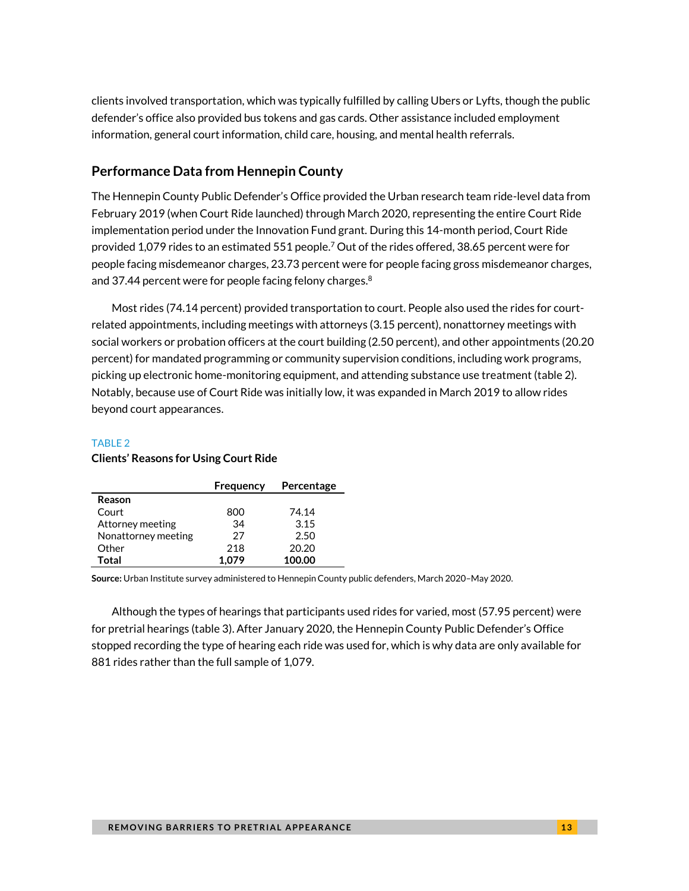clients involved transportation, which was typically fulfilled by calling Ubers or Lyfts, though the public defender's office also provided bus tokens and gas cards. Other assistance included employment information, general court information, child care, housing, and mental health referrals.

### **Performance Data from Hennepin County**

The Hennepin County Public Defender's Office provided the Urban research team ride-level data from February 2019 (when Court Ride launched) through March 2020, representing the entire Court Ride implementation period under the Innovation Fund grant. During this 14-month period, Court Ride provided 1,079 rides to an estimated 551 people.<sup>7</sup> Out of the rides offered, 38.65 percent were for people facing misdemeanor charges, 23.73 percent were for people facing gross misdemeanor charges, and 37.44 percent were for people facing felony charges. $^8$ 

Most rides (74.14 percent) provided transportation to court. People also used the rides for courtrelated appointments, including meetings with attorneys (3.15 percent), nonattorney meetings with social workers or probation officers at the court building (2.50 percent), and other appointments (20.20 percent) for mandated programming or community supervision conditions, including work programs, picking up electronic home-monitoring equipment, and attending substance use treatment (table 2). Notably, because use of Court Ride was initially low, it was expanded in March 2019 to allow rides beyond court appearances.

#### TABLE 2 **Clients' Reasons for Using Court Ride**

|                     | Frequency | Percentage |
|---------------------|-----------|------------|
| Reason              |           |            |
| Court               | 800       | 74.14      |
| Attorney meeting    | 34        | 3.15       |
| Nonattorney meeting | 27        | 2.50       |
| Other               | 218       | 20.20      |
| Total               | 1.079     | 100.00     |

**Source:** Urban Institute survey administered to Hennepin County public defenders, March 2020–May 2020.

Although the types of hearings that participants used rides for varied, most (57.95 percent) were for pretrial hearings (table 3). After January 2020, the Hennepin County Public Defender's Office stopped recording the type of hearing each ride was used for, which is why data are only available for 881 rides rather than the full sample of 1,079.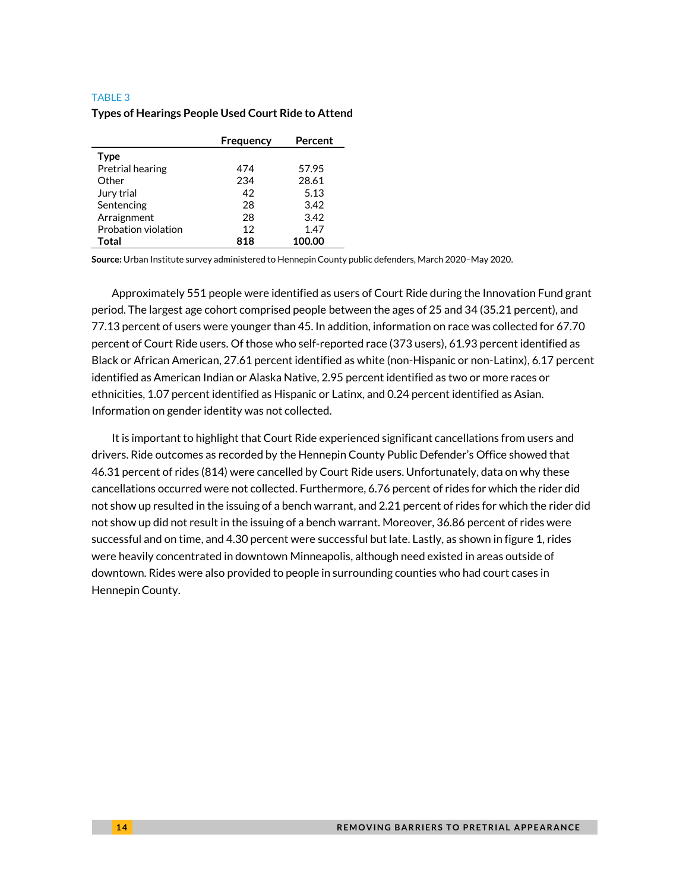#### TABLE 3

|                     | Frequency | Percent |
|---------------------|-----------|---------|
| <b>Type</b>         |           |         |
| Pretrial hearing    | 474       | 57.95   |
| Other               | 234       | 28.61   |
| Jury trial          | 42        | 5.13    |
| Sentencing          | 28        | 3.42    |
| Arraignment         | 28        | 3.42    |
| Probation violation | 12        | 1.47    |
| Total               | 818       | 100.00  |

#### **Types of Hearings People Used Court Ride to Attend**

**Source:** Urban Institute survey administered to Hennepin County public defenders, March 2020–May 2020.

Approximately 551 people were identified as users of Court Ride during the Innovation Fund grant period. The largest age cohort comprised people between the ages of 25 and 34 (35.21 percent), and 77.13 percent of users were younger than 45. In addition, information on race was collected for 67.70 percent of Court Ride users. Of those who self-reported race (373 users), 61.93 percent identified as Black or African American, 27.61 percent identified as white (non-Hispanic or non-Latinx), 6.17 percent identified as American Indian or Alaska Native, 2.95 percent identified as two or more races or ethnicities, 1.07 percent identified as Hispanic or Latinx, and 0.24 percent identified as Asian. Information on gender identity was not collected.

It is important to highlight that Court Ride experienced significant cancellations from users and drivers. Ride outcomes as recorded by the Hennepin County Public Defender's Office showed that 46.31 percent of rides (814) were cancelled by Court Ride users. Unfortunately, data on why these cancellations occurred were not collected. Furthermore, 6.76 percent of rides for which the rider did not show up resulted in the issuing of a bench warrant, and 2.21 percent of rides for which the rider did not show up did not result in the issuing of a bench warrant. Moreover, 36.86 percent of rides were successful and on time, and 4.30 percent were successful but late. Lastly, as shown in figure 1, rides were heavily concentrated in downtown Minneapolis, although need existed in areas outside of downtown. Rides were also provided to people in surrounding counties who had court cases in Hennepin County.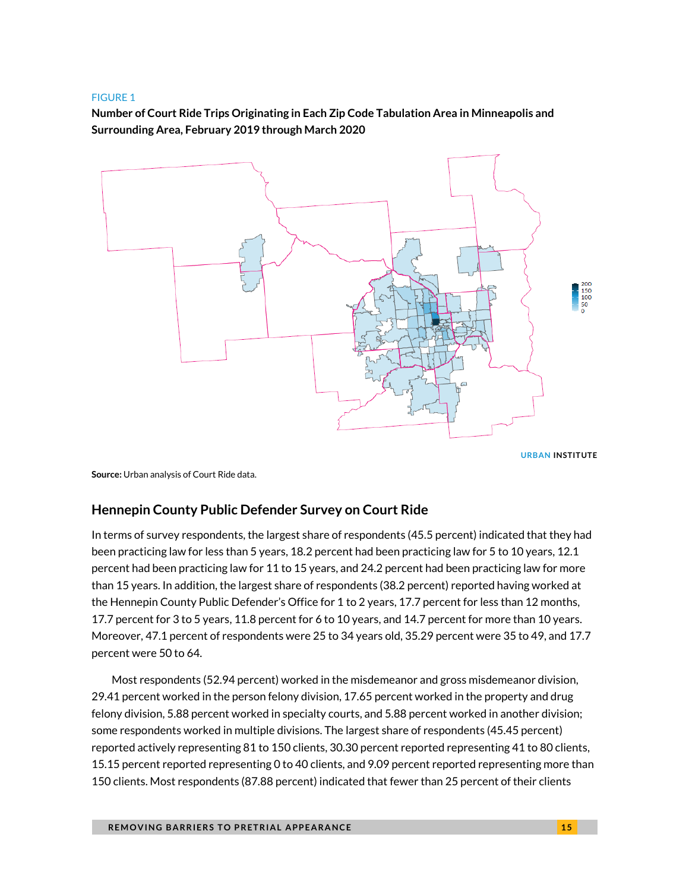#### FIGURE 1

**Number of Court Ride Trips Originating in Each Zip Code Tabulation Area in Minneapolis and Surrounding Area, February 2019 through March 2020**



**URBAN INSTITUTE**

**Source:** Urban analysis of Court Ride data.

### **Hennepin County Public Defender Survey on Court Ride**

In terms of survey respondents, the largest share of respondents (45.5 percent) indicated that they had been practicing law for less than 5 years, 18.2 percent had been practicing law for 5 to 10 years, 12.1 percent had been practicing law for 11 to 15 years, and 24.2 percent had been practicing law for more than 15 years. In addition, the largest share of respondents (38.2 percent) reported having worked at the Hennepin County Public Defender's Office for 1 to 2 years, 17.7 percent for less than 12 months, 17.7 percent for 3 to 5 years, 11.8 percent for 6 to 10 years, and 14.7 percent for more than 10 years. Moreover, 47.1 percent of respondents were 25 to 34 years old, 35.29 percent were 35 to 49, and 17.7 percent were 50 to 64.

Most respondents (52.94 percent) worked in the misdemeanor and gross misdemeanor division, 29.41 percent worked in the person felony division, 17.65 percent worked in the property and drug felony division, 5.88 percent worked in specialty courts, and 5.88 percent worked in another division; some respondents worked in multiple divisions. The largest share of respondents (45.45 percent) reported actively representing 81 to 150 clients, 30.30 percent reported representing 41 to 80 clients, 15.15 percent reported representing 0 to 40 clients, and 9.09 percent reported representing more than 150 clients. Most respondents (87.88 percent) indicated that fewer than 25 percent of their clients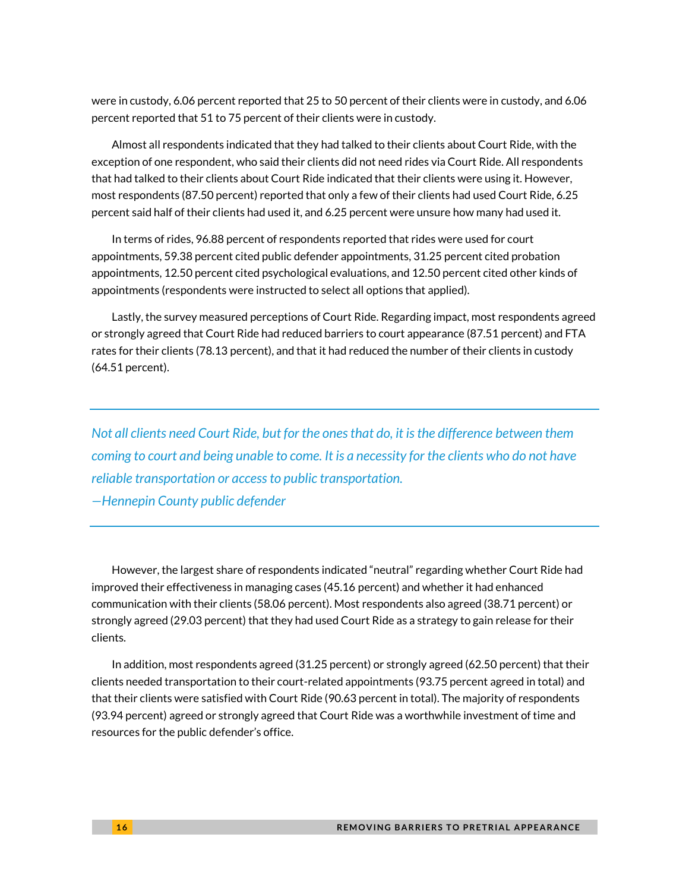were in custody, 6.06 percent reported that 25 to 50 percent of their clients were in custody, and 6.06 percent reported that 51 to 75 percent of their clients were in custody.

Almost all respondents indicated that they had talked to their clients about Court Ride, with the exception of one respondent, who said their clients did not need rides via Court Ride. All respondents that had talked to their clients about Court Ride indicated that their clients were using it. However, most respondents (87.50 percent) reported that only a few of their clients had used Court Ride, 6.25 percent said half of their clients had used it, and 6.25 percent were unsure how many had used it.

In terms of rides, 96.88 percent of respondents reported that rides were used for court appointments, 59.38 percent cited public defender appointments, 31.25 percent cited probation appointments, 12.50 percent cited psychological evaluations, and 12.50 percent cited other kinds of appointments (respondents were instructed to select all options that applied).

Lastly, the survey measured perceptions of Court Ride. Regarding impact, most respondents agreed or strongly agreed that Court Ride had reduced barriers to court appearance (87.51 percent) and FTA rates for their clients (78.13 percent), and that it had reduced the number of their clients in custody (64.51 percent).

*Not all clients need Court Ride, but for the ones that do, it is the difference between them coming to court and being unable to come. It is a necessity for the clients who do not have reliable transportation or access to public transportation. —Hennepin County public defender*

However, the largest share of respondents indicated "neutral" regarding whether Court Ride had improved their effectiveness in managing cases (45.16 percent) and whether it had enhanced communication with their clients (58.06 percent). Most respondents also agreed (38.71 percent) or strongly agreed (29.03 percent) that they had used Court Ride as a strategy to gain release for their clients.

In addition, most respondents agreed (31.25 percent) or strongly agreed (62.50 percent) that their clients needed transportation to their court-related appointments (93.75 percent agreed in total) and that their clients were satisfied with Court Ride (90.63 percent in total). The majority of respondents (93.94 percent) agreed or strongly agreed that Court Ride was a worthwhile investment of time and resources for the public defender's office.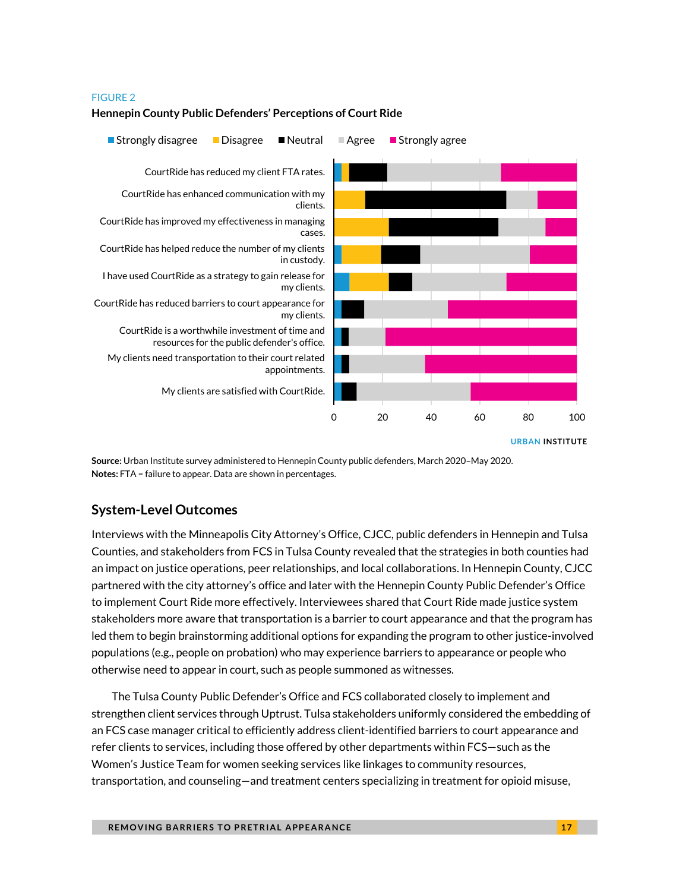#### FIGURE 2

#### **Hennepin County Public Defenders' Perceptions of Court Ride**



**Source:** Urban Institute survey administered to Hennepin County public defenders, March 2020–May 2020. **Notes:** FTA = failure to appear. Data are shown in percentages.

### **System-Level Outcomes**

Interviews with the Minneapolis City Attorney's Office, CJCC, public defenders in Hennepin and Tulsa Counties, and stakeholders from FCS in Tulsa County revealed that the strategies in both counties had an impact on justice operations, peer relationships, and local collaborations. In Hennepin County, CJCC partnered with the city attorney's office and later with the Hennepin County Public Defender's Office to implement Court Ride more effectively. Interviewees shared that Court Ride made justice system stakeholders more aware that transportation is a barrier to court appearance and that the program has led them to begin brainstorming additional options for expanding the program to other justice-involved populations (e.g., people on probation) who may experience barriers to appearance or people who otherwise need to appear in court, such as people summoned as witnesses.

The Tulsa County Public Defender's Office and FCS collaborated closely to implement and strengthen client services through Uptrust. Tulsa stakeholders uniformly considered the embedding of an FCS case manager critical to efficiently address client-identified barriers to court appearance and refer clients to services, including those offered by other departments within FCS—such as the Women's Justice Team for women seeking services like linkages to community resources, transportation, and counseling—and treatment centers specializing in treatment for opioid misuse,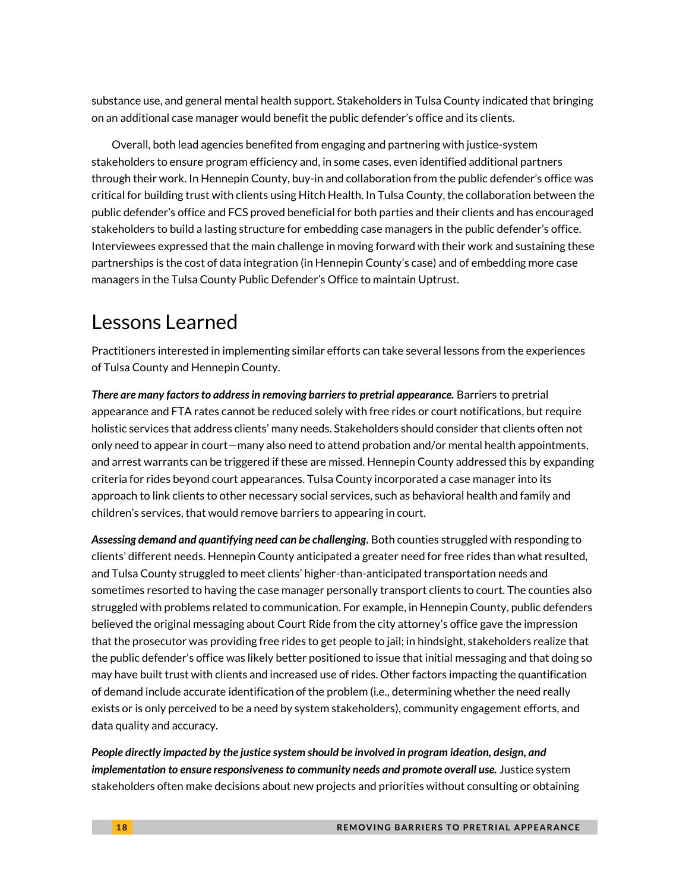substance use, and general mental health support. Stakeholders in Tulsa County indicated that bringing on an additional case manager would benefit the public defender's office and its clients.

Overall, both lead agencies benefited from engaging and partnering with justice-system stakeholders to ensure program efficiency and, in some cases, even identified additional partners through their work. In Hennepin County, buy-in and collaboration from the public defender's office was critical for building trust with clients using Hitch Health. In Tulsa County, the collaboration between the public defender's office and FCS proved beneficial for both parties and their clients and has encouraged stakeholders to build a lasting structure for embedding case managers in the public defender's office. Interviewees expressed that the main challenge in moving forward with their work and sustaining these partnerships is the cost of data integration (in Hennepin County's case) and of embedding more case managers in the Tulsa County Public Defender's Office to maintain Uptrust.

### Lessons Learned

Practitioners interested in implementing similar efforts can take several lessons from the experiences of Tulsa County and Hennepin County.

*There are many factors to address in removing barriers to pretrial appearance.* Barriers to pretrial appearance and FTA rates cannot be reduced solely with free rides or court notifications, but require holistic services that address clients' many needs. Stakeholders should consider that clients often not only need to appear in court—many also need to attend probation and/or mental health appointments, and arrest warrants can be triggered if these are missed. Hennepin County addressed this by expanding criteria for rides beyond court appearances. Tulsa County incorporated a case manager into its approach to link clients to other necessary social services, such as behavioral health and family and children's services, that would remove barriers to appearing in court.

*Assessing demand and quantifying need can be challenging.* Both counties struggled with responding to clients' different needs. Hennepin County anticipated a greater need for free rides than what resulted, and Tulsa County struggled to meet clients' higher-than-anticipated transportation needs and sometimes resorted to having the case manager personally transport clients to court. The counties also struggled with problems related to communication. For example, in Hennepin County, public defenders believed the original messaging about Court Ride from the city attorney's office gave the impression that the prosecutor was providing free rides to get people to jail; in hindsight, stakeholders realize that the public defender's office was likely better positioned to issue that initial messaging and that doing so may have built trust with clients and increased use of rides. Other factors impacting the quantification of demand include accurate identification of the problem (i.e., determining whether the need really exists or is only perceived to be a need by system stakeholders), community engagement efforts, and data quality and accuracy.

*People directly impacted by the justice system should be involved in program ideation, design, and implementation to ensure responsiveness to community needs and promote overall use.* Justice system stakeholders often make decisions about new projects and priorities without consulting or obtaining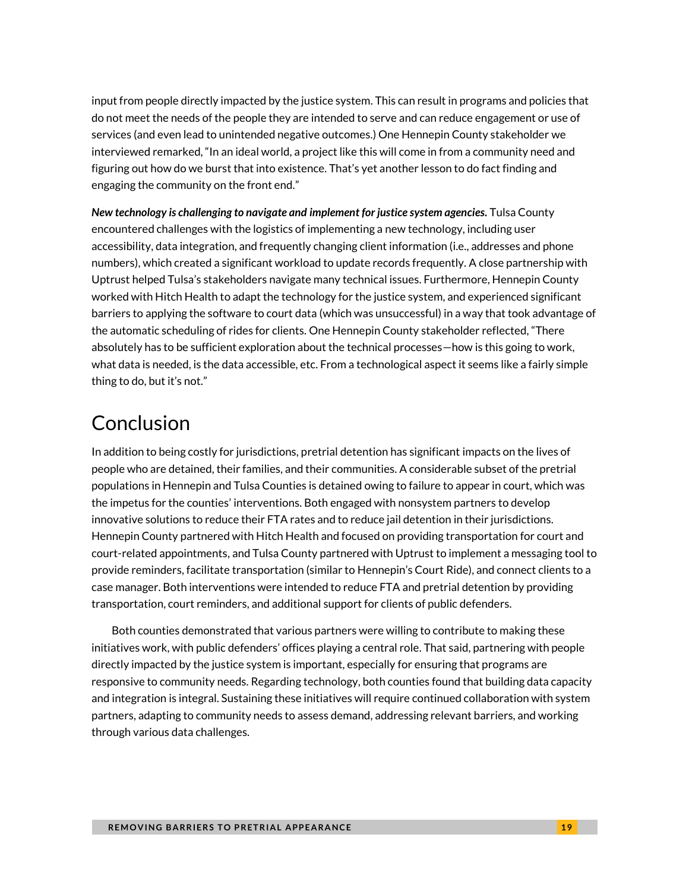input from people directly impacted by the justice system. This can result in programs and policies that do not meet the needs of the people they are intended to serve and can reduce engagement or use of services (and even lead to unintended negative outcomes.) One Hennepin County stakeholder we interviewed remarked, "In an ideal world, a project like this will come in from a community need and figuring out how do we burst that into existence. That's yet another lesson to do fact finding and engaging the community on the front end."

*New technology is challenging to navigate and implement for justice system agencies.* Tulsa County encountered challenges with the logistics of implementing a new technology, including user accessibility, data integration, and frequently changing client information (i.e., addresses and phone numbers), which created a significant workload to update records frequently. A close partnership with Uptrust helped Tulsa's stakeholders navigate many technical issues. Furthermore, Hennepin County worked with Hitch Health to adapt the technology for the justice system, and experienced significant barriers to applying the software to court data (which was unsuccessful) in a way that took advantage of the automatic scheduling of rides for clients. One Hennepin County stakeholder reflected, "There absolutely has to be sufficient exploration about the technical processes—how is this going to work, what data is needed, is the data accessible, etc. From a technological aspect it seems like a fairly simple thing to do, but it's not."

# Conclusion

In addition to being costly for jurisdictions, pretrial detention has significant impacts on the lives of people who are detained, their families, and their communities. A considerable subset of the pretrial populations in Hennepin and Tulsa Counties is detained owing to failure to appear in court, which was the impetus for the counties' interventions. Both engaged with nonsystem partners to develop innovative solutions to reduce their FTA rates and to reduce jail detention in their jurisdictions. Hennepin County partnered with Hitch Health and focused on providing transportation for court and court-related appointments, and Tulsa County partnered with Uptrust to implement a messaging tool to provide reminders, facilitate transportation (similar to Hennepin's Court Ride), and connect clients to a case manager. Both interventions were intended to reduce FTA and pretrial detention by providing transportation, court reminders, and additional support for clients of public defenders.

Both counties demonstrated that various partners were willing to contribute to making these initiatives work, with public defenders' offices playing a central role. That said, partnering with people directly impacted by the justice system is important, especially for ensuring that programs are responsive to community needs. Regarding technology, both counties found that building data capacity and integration is integral. Sustaining these initiatives will require continued collaboration with system partners, adapting to community needs to assess demand, addressing relevant barriers, and working through various data challenges.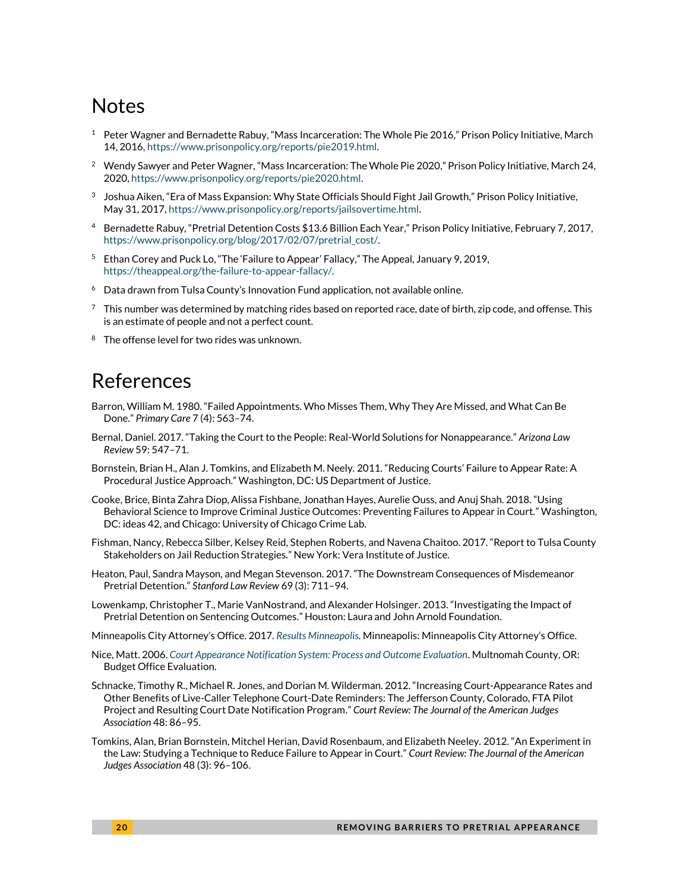### Notes

- $1$  Peter Wagner and Bernadette Rabuy, "Mass Incarceration: The Whole Pie 2016," Prison Policy Initiative, March 14, 2016[, https://www.prisonpolicy.org/reports/pie2019.html.](https://www.prisonpolicy.org/reports/pie2019.html)
- <sup>2</sup> Wendy Sawyer and Peter Wagner, "Mass Incarceration: The Whole Pie 2020," Prison Policy Initiative, March 24, 2020, [https://www.prisonpolicy.org/reports/pie2020.html.](https://www.prisonpolicy.org/reports/pie2020.html)
- $^3$  Joshua Aiken, "Era of Mass Expansion: Why State Officials Should Fight Jail Growth," Prison Policy Initiative, May 31, 2017[, https://www.prisonpolicy.org/reports/jailsovertime.html.](https://www.prisonpolicy.org/reports/jailsovertime.html)
- <sup>4</sup> Bernadette Rabuy, "Pretrial Detention Costs \$13.6 Billion Each Year," Prison Policy Initiative, February 7, 2017, [https://www.prisonpolicy.org/blog/2017/02/07/pretrial\\_cost/.](https://www.prisonpolicy.org/blog/2017/02/07/pretrial_cost/)
- <sup>5</sup> Ethan Corey and Puck Lo, "The 'Failure to Appear' Fallacy," The Appeal, January 9, 2019, [https://theappeal.org/the-failure-to-appear-fallacy/.](https://theappeal.org/the-failure-to-appear-fallacy/)
- $6$  Data drawn from Tulsa County's Innovation Fund application, not available online.
- $7$  This number was determined by matching rides based on reported race, date of birth, zip code, and offense. This is an estimate of people and not a perfect count.
- <sup>8</sup> The offense level for two rides was unknown.

### References

- Barron, William M. 1980. "Failed Appointments. Who Misses Them, Why They Are Missed, and What Can Be Done." *Primary Care* 7 (4): 563–74.
- Bernal, Daniel. 2017. "Taking the Court to the People: Real-World Solutions for Nonappearance." *Arizona Law Review* 59: 547–71.
- Bornstein, Brian H., Alan J. Tomkins, and Elizabeth M. Neely. 2011. "Reducing Courts' Failure to Appear Rate: A Procedural Justice Approach." Washington, DC: US Department of Justice.
- Cooke, Brice, Binta Zahra Diop, Alissa Fishbane, Jonathan Hayes, Aurelie Ouss, and Anuj Shah. 2018. "Using Behavioral Science to Improve Criminal Justice Outcomes: Preventing Failures to Appear in Court." Washington, DC: ideas 42, and Chicago: University of Chicago Crime Lab.
- Fishman, Nancy, Rebecca Silber, Kelsey Reid, Stephen Roberts, and Navena Chaitoo. 2017. "Report to Tulsa County Stakeholders on Jail Reduction Strategies." New York: Vera Institute of Justice.
- Heaton, Paul, Sandra Mayson, and Megan Stevenson. 2017. "The Downstream Consequences of Misdemeanor Pretrial Detention." *Stanford Law Review* 69 (3): 711–94.
- Lowenkamp, Christopher T., Marie VanNostrand, and Alexander Holsinger. 2013. "Investigating the Impact of Pretrial Detention on Sentencing Outcomes." Houston: Laura and John Arnold Foundation.
- Minneapolis City Attorney's Office. 2017. *[Results Minneapolis](http://www2.minneapolismn.gov/www/groups/public/@citycoordinator/documents/webcontent/wcmsp-200037.pdf)*. Minneapolis: Minneapolis City Attorney's Office.
- Nice, Matt. 2006. *[Court Appearance Notification System: Process and Outcome Evaluation](https://multco.us/file/26885/download)*. Multnomah County, OR: Budget Office Evaluation.
- Schnacke, Timothy R., Michael R. Jones, and Dorian M. Wilderman. 2012. "Increasing Court-Appearance Rates and Other Benefits of Live-Caller Telephone Court-Date Reminders: The Jefferson County, Colorado, FTA Pilot Project and Resulting Court Date Notification Program." *Court Review: The Journal of the American Judges Association* 48: 86–95.
- Tomkins, Alan, Brian Bornstein, Mitchel Herian, David Rosenbaum, and Elizabeth Neeley. 2012. "An Experiment in the Law: Studying a Technique to Reduce Failure to Appear in Court." *Court Review: The Journal of the American Judges Association* 48 (3): 96–106.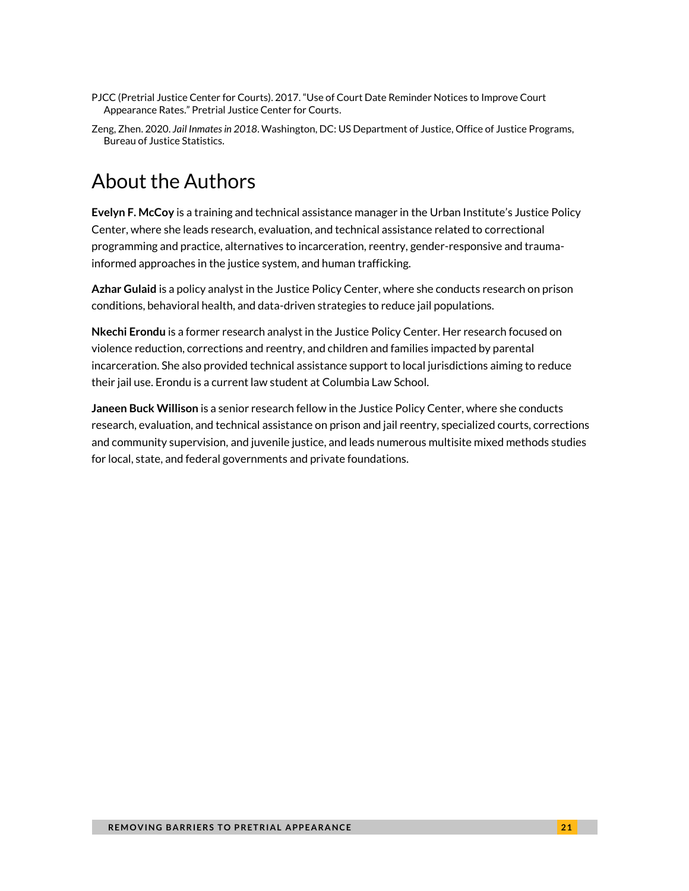- PJCC (Pretrial Justice Center for Courts). 2017. "Use of Court Date Reminder Notices to Improve Court Appearance Rates." Pretrial Justice Center for Courts.
- Zeng, Zhen. 2020. *Jail Inmates in 2018*. Washington, DC: US Department of Justice, Office of Justice Programs, Bureau of Justice Statistics.

# About the Authors

**Evelyn F. McCoy** is a training and technical assistance manager in the Urban Institute's Justice Policy Center, where she leads research, evaluation, and technical assistance related to correctional programming and practice, alternatives to incarceration, reentry, gender-responsive and traumainformed approaches in the justice system, and human trafficking.

**Azhar Gulaid** is a policy analyst in the Justice Policy Center, where she conducts research on prison conditions, behavioral health, and data-driven strategies to reduce jail populations.

**Nkechi Erondu** is a former research analyst in the Justice Policy Center. Her research focused on violence reduction, corrections and reentry, and children and families impacted by parental incarceration. She also provided technical assistance support to local jurisdictions aiming to reduce their jail use. Erondu is a current law student at Columbia Law School.

**Janeen Buck Willison** is a senior research fellow in the Justice Policy Center, where she conducts research, evaluation, and technical assistance on prison and jail reentry, specialized courts, corrections and community supervision, and juvenile justice, and leads numerous multisite mixed methods studies for local, state, and federal governments and private foundations.